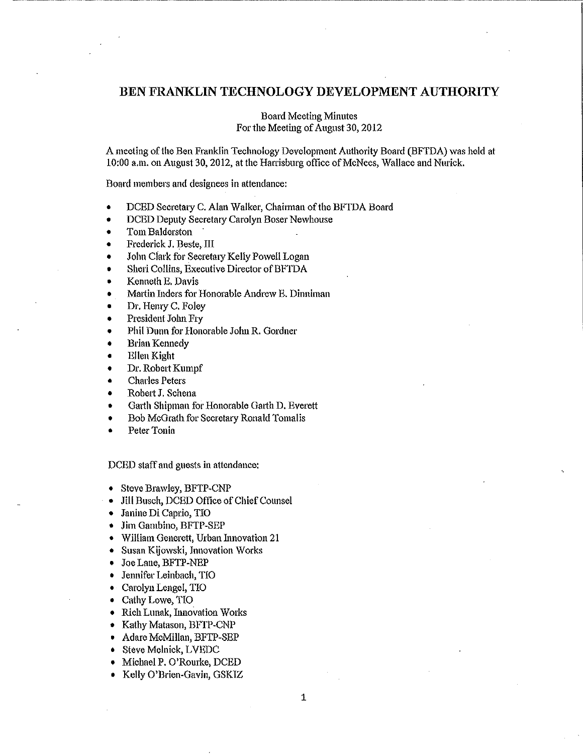# **BEN FRANKLIN TECHNOLOGY DEVELOPMENT AUTHORITY**

Board Meeting Minutes For the Meeting of August 30, 2012

A meeting ofthe Ben Franklin Technology Development Authority Board (BFTDA) was held at 10:00 a.m. on August 30, 2012, at the Harrisburg office of McNees, Wallace and Nurick.

Board members and designees in attendance:

- DCED Secretary C. Alan Walker, Chairman of the BFTDA Board
- DCED Deputy Secretary Carolyn Boser Newhouse
- Tom Balderston
- Frederick J. Beste, 11I
- John Clark for Secretary Kelly Powell Logan
- Sheri Collins, Executive Director of BFTDA
- Kenneth E. Davis
- Martin Inders for Honorable Andrew E. Dinniman
- Dr. Hemy C. Foley
- President John Fry
- Phil Dunn for Honorable John R. Gordner
- Brian Kennedy
- Ellen Kight
- Dr. Robert Kumpf
- Charles Peters
- Robert J. Schena
- Garth Shipman for Honorable Garth D. Everett
- Bob McGrath for Secretary Ronald Tomalis
- Peter Tonia

DCED staff and guests in attendance:

- Steve Brawley, BFTP-CNP
- Jill Busch, DCED Office of Chief Counsel
- Janine Di Caprio, TIO
- Jim Gambino, BFTP-SEP
- **William Generett, Urban Innovation 21**
- Susan Kijowski, Innovation Works
- Joe Laue, BFTP-NEP
- Jennifer Leinbach, TIO
- Carolyn Lengel, TIO
- Cathy Lowe, TIO
- Rich Lunak, Innovation Works
- Kathy Matason, BFTP-CNP
- Adare McMillan, BFTP-SEP
- Steve Melnick, LVEDC
- Michael P. O'Rourke, DCED
- Kelly O'Brien-Gavin, GSKIZ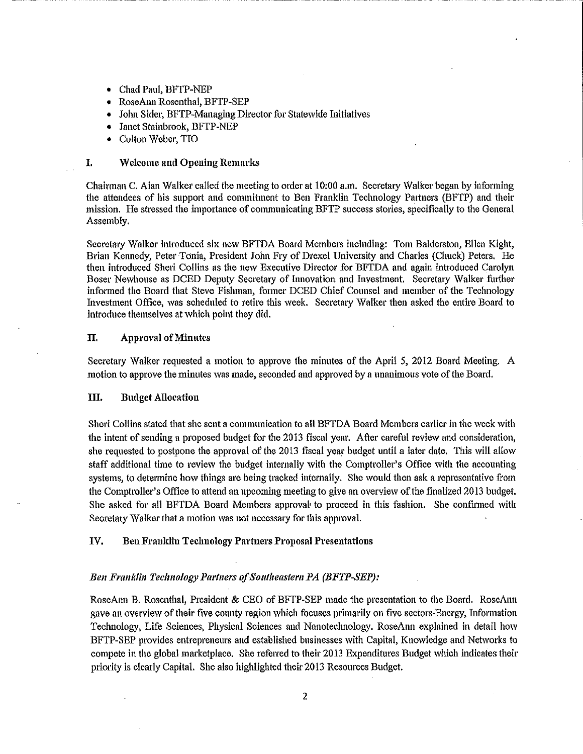- Chad Paul, BFTP-NEP
- RoseAnn Rosenthal, BFTP-SEP
- John Sider, BFTP-Managing Director for Statewide Initiatives
- Janet Stainbrook, BFTP-NEP
- Colton Weber, TIO

# I. Welcome and Opening Remarks

Chairman C. Alan Walker called the meeting to order at 10:00 a.m. Secretary Walker began by informing the attendees of his suppott and commitment to Ben Franklin Technology Pattners (BFTP) and their mission. He stressed the importance of communicating BFTP success stories, specifically to the General Assembly.

Secretary Walker introduced six new BFTDA Board Members including: Tom Balderston, Ellen Kight, Brian Kennedy, Peter Tonia, President John Fry of Drexel University and Charles (Chuck) Peters. He then introduced Sheri Collins as the new Executive Director for BFTDA and again introduced Carolyn Boser Newhouse as DCED Deputy Secretary of Innovation and Investment. Secretary Walker further informed the Board that Steve Fishman, former DCED Chief Counsel and member of the Technology Investment Office, was scheduled to retire this week. Secretaty Walker then asked the entire Board to introduce themselves at which point they did.

#### II. Approval of Minutes

Secretary Walker requested a motion to approve the minutes of the April *5,* 2012 Board Meeting. A motion to approve the minutes was made, seconded and approved by a unanimous vote of the Board.

#### III. Budget Allocation

Sheri Collins stated that she sent a communication to all BFTDA Board Members earlier in the week with the intent of sending a proposed budget for the 2013 fiscal year. After careful review and consideration, she requested to postpone the approval of the 2013 fiscal year budget until a later date. This will allow staff additional time to review the budget internally with the Comptroller's Office with the accounting systems, to determine how things are being tracked internally. She would then ask a representative from the Comptroller's Office to attend an upcoming meeting to give an overview of the finalized 2013 budget. She asked for all BFTDA Board Members approval• to proceed in this fashion. She confinned with Secretary Walker that a motion was not necessaty for this approval.

# IV. Ben Franklin Technology Partners Proposal Presentations

# **Ben Franklin Technology Partners of Southeastern PA (BFTP-SEP):**

RoseAnn B. Rosenthal, President & CEO of BFTP-SEP made the presentation to the Board. RoseAnn gave an overview of their five county region which focuses primarily on five sectors-Energy, Information Technology, Life Sciences, Physical Sciences and Nanotechnology. RoseAnn explained in detail how BFTP-SEP provides entrepreneurs and established businesses with Capital, Knowledge and Networks to compete in the global marketplace. She referred to their 2013 Expenditures Budget which indicates their priority is clearly Capital. She also highlighted their 2013 Resources Budget.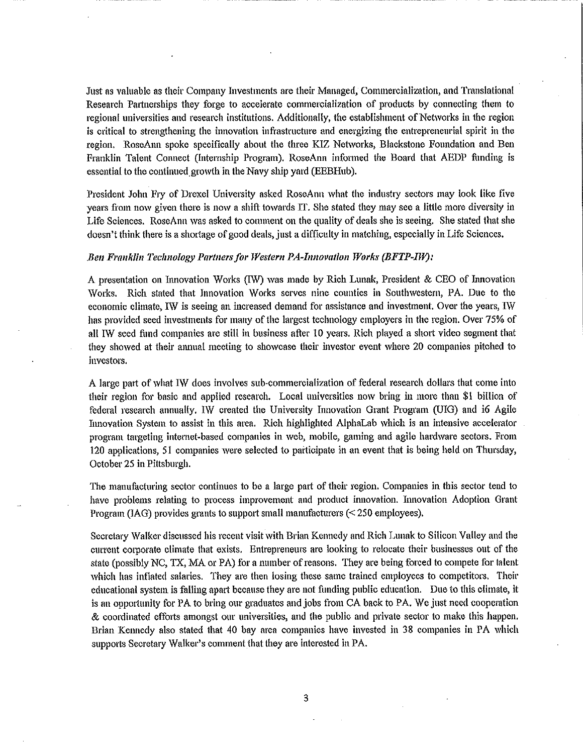Just as valuable as their Company Investments are their Managed, Commercialization, and Translational Research Partnerships they forge to accelerate commercialization of products by connecting them to regional universities and research institutions. Additionally, the establishment of Networks in the region is critical to strengthening the innovation infrastructure and energizing the entrepreneurial spirit in the region. RoseAnn spoke specifically about the three KIZ Networks, Blackstone Foundation and Ben Franklin Talent Connect (Internship Program). RoseAnn informed the Board that AEDP funding is essential to the continued growth in the Navy ship yard (EEBHub).

President John Fty of Drexel University asked RoseAnn what the industry sectors may look like five years from now given there is now a shift towards IT. She stated they may see a little more diversity in Life Sciences. RoseAnn was asked to comment on the quality of deals she is seeing. She stated that she doesn't think there is a shortage of good deals, just a difficulty in matching, especially in Life Sciences.

#### **Ben Franklin Technology Partners for Western PA-Innovation Works (BFTP-IW):**

A presentation on Innovation Works (1W) was made by Rich Lunak, President & CEO of Innovation Works. Rich stated that Innovation Works serves nine counties in Southwestern, PA. Due to the economic climate, IW is seeing an increased demand for assistance and investment. Over the years, IW has provided seed investments for many of the largest technology employers in the region. Over 75% of all IW seed fund companies are still in business after 10 years. Rich played a short video segment that they showed at their annual meeting to showcase their investor event where 20 companies pitched io investors.

A large part of what IW does involves sub-commercialization of federal research dollars that come into their region for basic and applied research. Local universities now bring in more than \$1 billion of federal research annually. IW created the University Innovation Grant Program (UIG) and i6 Agile Im1ovation System to assist in this area. Rich highlighted AlphaLab which is an intensive accelerator program targeting internet-based companies in web, mobile, gaming and agile hardware sectors. From 120 applications, 51 companies were selected to participate in an event that is being held on Thursday, October 25 in Pittsburgh.

The manufacturing sector continues to be a large patt of their region. Companies in this sector tend to have problems relating to process improvement and product innovation. Innovation Adoption Grant Program (IAG) provides grants to support small manufacturers  $($  < 250 employees).

Secretary Walker discussed his recent visit with Brian Kennedy and Rich Lunak to Silicon Valley and the current corporate climate that exists. Entrepreneurs are looking to relocate their businesses out of the state (possibly NC, TX, MA or PA) for a number of reasons. They are being forced to compete for talent which has inflated salaries. They are then losing these same trained employees to competitors, Their educational system is falling apart because they are not funding public education. Due to this climate, it is an opportunity for PA to bring our graduates and jobs from CA back to PA. We just need cooperation & coordinated effo1is amongst our universities, and the public and private sector to make this happen. Brian Kennedy also stated that 40 bay area companies have invested in 38 companies in PA which supports Secretary Walker's comment that they are interested in PA.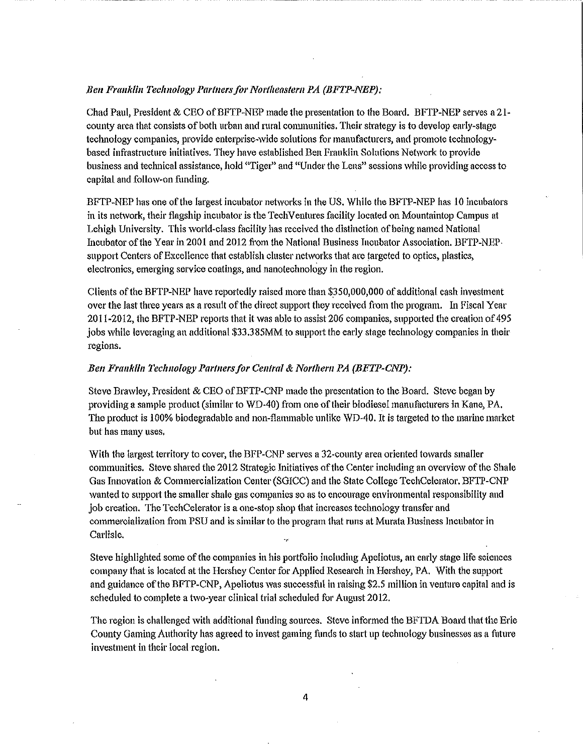## **Ben Franklin Technology Partners for Northeastern PA (BFTP-NEP):**

Chad Paul, President & CEO of BFTP-NEP made the presentation to the Board. BFTP-NEP serves a 21county area that consists of both urban and rural communities. Their strategy is to develop early-stage technology companies, provide enterprise-wide solutions for manufacturers, and promote teclmologybased infrastructure initiatives. They have established Ben Franklin Solutions Network to provide business and technical assistance, hold "Tiger" and "Under the Lens" sessions while providing access to capital and follow-on funding.

BFTP-NEP has one of the largest incubator networks in the US. While the BFTP-NEP has 10 incubators in its network, their flagship incubator is the TechVentures facility located on Mountaintop Campus at Lehigh University. This world-class facility has received the distinction of being named National Incubator ofthe Year in 2001 and 2012 from the National Business Incubator Association. BFTP-NEPsupport Centers ofExcellence that establish cluster networks that are targeted to optics, plastics, electronics, emerging service coatings, and nanotechnology in the region.

Clients of the BFTP-NEP have reportedly raised more than \$\_350,000,000 of additional cash investment over the last three years as a result of the direct support they received from the program. In Fiscal Year 2011-2012, the BFTP-NEP reports that it was able to assist206 companies, supported the creation of 495 jobs while leveraging an additional \$33.385MM to support the early stage technology companies in their regions.

# *Ben Fra11kli11 Technology Par/11ersfor Central* & *Nor/Item PA {BFTP-CNP):*

Steve Brawley, President & CEO of BFTP-CNP made the presentation to the Board. Steve began by providing a sample product (similar to WD-40) from one of their biodiesel manufacturers in Kane, PA. The product is 100% biodegradable and non-flammable unlike \VD-40. It is targeted to the marine market but has many uses.

With the largest territory to cover, the BFP-CNP serves a 32-county area oriented towards smaller communities. Steve shared the 2012 Strategic Initiatives of the Center including an overview of the Shale Gas Innovation & Commercialization Center (SGICC) and the State College TechCelerator. BFTP-CNP wanted to support the smaller shale gas companies so as to encourage environmental responsibility and job creation. The TechCelerator is a one-stop shop that increases technology transfer and commercialization from PSU and is similar to the program that runs at Murata Business Incubator in Carlisle.

Steve highlighted some of the companies in his portfolio including Apeliotus, an early stage life sciences company that is located at the Hershey Center for Applied Research in Hershey, PA. With the support and guidance ofthe BFTP-CNP, Apeliotus was successful in raising \$2.5 million in venture capital and is scheduled to complete a two-year clinical trial scheduled for August 2012.

The region is challenged with additional funding sources. Steve informed the BFTDA Board that the Erie County Gaming Authority has agreed to invest gaming funds to start up technology businesses as a future investment in their local region.

4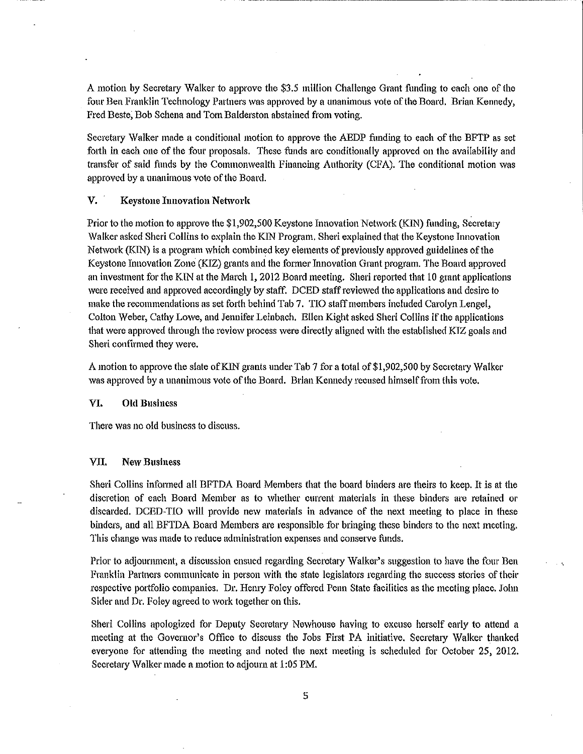A motion by Secretary Walker to approve the \$3.5 million Challenge Grant funding to each one of the four Ben Franklin Technology Partners was approved by a unanimous vote of the Board. Brian Kennedy, Fred Beste, Bob Schena and Tom Balderston abstained from voting.

------ - -- ----------

Secretary Walker made a conditional motion to approve the AEDP funding to each of the BFTP as set forth in each one of the four proposals. These funds are conditionally approved on the availability and transfer of said funds by the Commonwealth Financing Authority (CFA). The conditional motion was approved by a unanimous vote of the Board.

## V. Keystone Innovation Network

Prior to the motion to approve the \$1,902,500 Keystone Innovation Network (KJN) funding, Secretaty Walker asked Sheri Collins to explain the KlN Program. Sheri explained that the Keystone Innovation Network (KIN) is a program which combined key elements of previously approved guidelines of the Keystone Innovation Zone (KIZ) grants and the former Innovation Grant program. The Board approved an investment for the KIN at the March 1, 2012 Board meeting. Sheri reported that 10 grant applications were received and approved accordingly by staff. DCED staff reviewed the applications and desire to make the recommendations as set forth behind Tab 7. TIO staff members included Carolyn Lengel, Colton Weber, Cathy Lowe, and Jennifer Leinbach. Ellen Kight asked Sheri Collins if the applications that were approved through the review process were directly aligned with the established KIZ goals and Sheri confirmed they were.

A motion to approve the slate of KIN grants under Tab 7 for a total of \$1,902,500 by Secretary Walker was approved by a unanimous vote of the Board. Brian Kennedy recused himself from this vote.

#### VI. Old Business

There was no old business to discuss.

#### **VII. New Business**

Sheri Collins infonned all BFTDA Board Members that the board binders are theirs to keep. It is at the discretion of each Board Member as to whether current materials in these binders are retained or discarded. DCED-TIO will provide new materials in advance of the next meeting to place in these binders, and all BFTDA Board Members are responsible for bringing these binders to the next meeting. This change was made to reduce administration expenses and conserve funds.

Prior to adjourmnent, a discussion ensued regarding Secretary Walker's suggestion to have the four Ben Franklin Partners communicate in person with the state legislators regarding the success stories of their respective portfolio companies. Dr. Hemy Foley offered Penn State facilities as the meeting place. John Sider and Dr. Foley agreed to work together on this.

Sheri Collins apologized for Deputy Secretary Newhouse having to excuse herself early to attend a meeting at the Governor's Office to discuss the Jobs First PA initiative. Secretary Walker thanked everyone for attending the meeting and noted the next meethig is scheduled for October 25, 2012. Secretary Walker made a motion to adjourn at 1:05 PM.